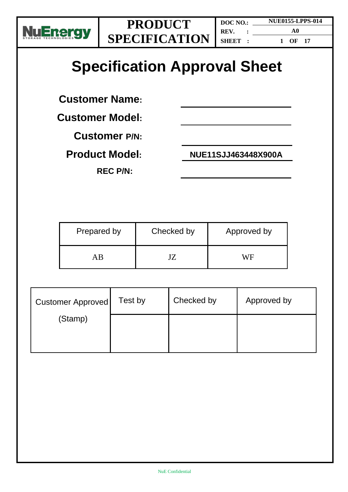

**REV. : SHEET :**

**DOC NO.:** 

**NUE0155-LPPS-014 A0 1 OF 17**

# **Specification Approval Sheet**

**Customer Name:**

**Customer Model:**

**Customer P/N:**

**REC P/N:**

**Product Model: NUE11SJJ463448X900A** 

| Prepared by | Checked by | Approved by |
|-------------|------------|-------------|
| ΑR          |            | WF          |

| <b>Customer Approved</b> | Test by | Checked by | Approved by |
|--------------------------|---------|------------|-------------|
| (Stamp)                  |         |            |             |
|                          |         |            |             |
|                          |         |            |             |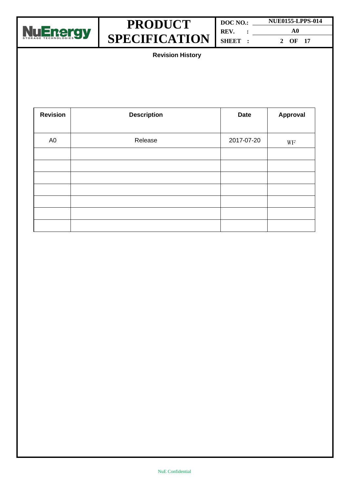

| DOC NO.: |  | <b>NUE0155-LPPS-014</b> |  |  |
|----------|--|-------------------------|--|--|
| REV.     |  | A0                      |  |  |
| SHEET:   |  | OF 17<br>$\mathcal{L}$  |  |  |

**Revision History**

| <b>Revision</b> | <b>Description</b> | <b>Date</b> | <b>Approval</b> |
|-----------------|--------------------|-------------|-----------------|
| A <sub>0</sub>  | Release            | 2017-07-20  | WF              |
|                 |                    |             |                 |
|                 |                    |             |                 |
|                 |                    |             |                 |
|                 |                    |             |                 |
|                 |                    |             |                 |
|                 |                    |             |                 |
|                 |                    |             |                 |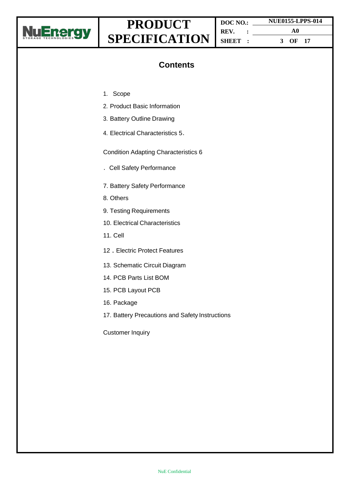

**DOC NO.: REV. : SHEET : NUE0155-LPPS-014 A0 3 OF 17**

### **Contents**

- 1. Scope
- 2. Product Basic Information
- 3. Battery Outline Drawing
- 4. Electrical Characteristics 5.

Condition Adapting Characteristics 6

- .Cell Safety Performance
- 7. Battery Safety Performance
- 8. Others
- 9. Testing Requirements
- 10. Electrical Characteristics
- 11. Cell
- 12**.**Electric Protect Features
- 13. Schematic Circuit Diagram
- 14. PCB Parts List BOM
- 15. PCB Layout PCB
- 16. Package
- 17. Battery Precautions and Safety Instructions

Customer Inquiry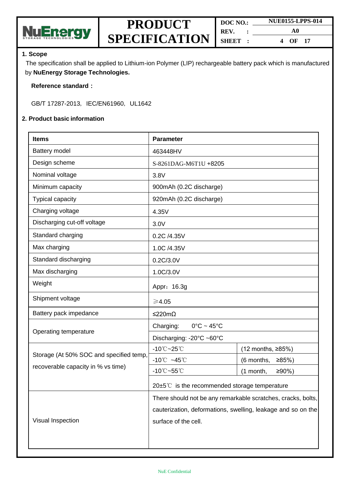

| DOC NO.: |  | <b>NUE0155-LPPS-014</b> |  |
|----------|--|-------------------------|--|
| REV.     |  | A0                      |  |
| SHEET :  |  | OF $17$<br>4            |  |

#### **1. Scope**

The specification shall be applied to Lithium-ion Polymer (LIP) rechargeable battery pack which is manufactured by **NuEnergy Storage Technologies.**

#### **Reference standard:**

GB/T 17287-2013, IEC/EN61960, UL1642

#### **2. Product basic information**

| <b>Items</b>                            | <b>Parameter</b>                                             |                         |  |
|-----------------------------------------|--------------------------------------------------------------|-------------------------|--|
| Battery model                           | 463448HV                                                     |                         |  |
| Design scheme                           | S-8261DAG-M6T1U +8205                                        |                         |  |
| Nominal voltage                         | 3.8V                                                         |                         |  |
| Minimum capacity                        | 900mAh (0.2C discharge)                                      |                         |  |
| Typical capacity                        | 920mAh (0.2C discharge)                                      |                         |  |
| Charging voltage                        | 4.35V                                                        |                         |  |
| Discharging cut-off voltage             | 3.0V                                                         |                         |  |
| Standard charging                       | 0.2C /4.35V                                                  |                         |  |
| Max charging                            | 1.0C /4.35V                                                  |                         |  |
| Standard discharging                    | 0.2C/3.0V                                                    |                         |  |
| Max discharging                         | 1.0C/3.0V                                                    |                         |  |
| Weight                                  | Appr: 16.3g                                                  |                         |  |
| Shipment voltage                        | ≥4.05                                                        |                         |  |
| Battery pack impedance                  | ≤220mΩ                                                       |                         |  |
|                                         | Charging:<br>$0^{\circ}$ C ~ 45 $^{\circ}$ C                 |                         |  |
| Operating temperature                   | Discharging: -20°C ~60°C                                     |                         |  |
|                                         | $-10^{\circ}$ C $-25^{\circ}$ C                              | (12 months, ≥85%)       |  |
| Storage (At 50% SOC and specified temp, | $-10^{\circ}$ $-45^{\circ}$                                  | (6 months,<br>≥85%)     |  |
| recoverable capacity in % vs time)      | $-10^{\circ}$ C $-55^{\circ}$ C                              | $≥90%$ )<br>$(1$ month, |  |
|                                         | $20\pm5^{\circ}$ is the recommended storage temperature      |                         |  |
|                                         | There should not be any remarkable scratches, cracks, bolts, |                         |  |
|                                         | cauterization, deformations, swelling, leakage and so on the |                         |  |
| Visual Inspection                       | surface of the cell.                                         |                         |  |
|                                         |                                                              |                         |  |
|                                         |                                                              |                         |  |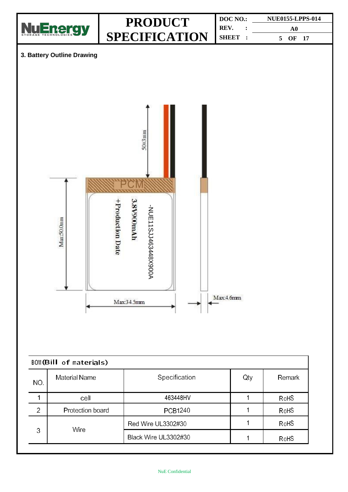

| NO.            | <b>Material Name</b> | Specification        | Qty | Remark |  |  |  |
|----------------|----------------------|----------------------|-----|--------|--|--|--|
|                | cell                 | 463448HV             |     | RoHS   |  |  |  |
| $\overline{2}$ | Protection board     | <b>PCB1240</b>       |     | RoHS   |  |  |  |
|                | Wire                 | Red Wire UL3302#30   |     | RoHS   |  |  |  |
| 3              |                      | Black Wire UL3302#30 |     | RoHS   |  |  |  |
|                |                      |                      |     |        |  |  |  |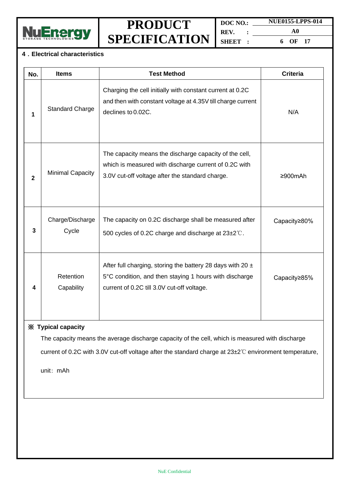

**DOC NO.: NUE0155-LPPS-014 REV. : SHEET : A0 6 OF 17**

#### **4.Electrical characteristics**

| No.                                                                                                                                                                                                                             | <b>Items</b>              | <b>Test Method</b>                                                                                                                                                     | <b>Criteria</b> |  |
|---------------------------------------------------------------------------------------------------------------------------------------------------------------------------------------------------------------------------------|---------------------------|------------------------------------------------------------------------------------------------------------------------------------------------------------------------|-----------------|--|
| 1                                                                                                                                                                                                                               | <b>Standard Charge</b>    | Charging the cell initially with constant current at 0.2C<br>and then with constant voltage at 4.35V till charge current<br>declines to 0.02C.                         | N/A             |  |
| $\mathbf{2}$                                                                                                                                                                                                                    | <b>Minimal Capacity</b>   | The capacity means the discharge capacity of the cell,<br>which is measured with discharge current of 0.2C with<br>3.0V cut-off voltage after the standard charge.     | ≥900mAh         |  |
| 3                                                                                                                                                                                                                               | Charge/Discharge<br>Cycle | The capacity on 0.2C discharge shall be measured after<br>500 cycles of 0.2C charge and discharge at 23±2°C.                                                           | Capacity≥80%    |  |
| 4                                                                                                                                                                                                                               | Retention<br>Capability   | After full charging, storing the battery 28 days with 20 $\pm$<br>5°C condition, and then staying 1 hours with discharge<br>current of 0.2C till 3.0V cut-off voltage. | Capacity≥85%    |  |
| X Typical capacity<br>The capacity means the average discharge capacity of the cell, which is measured with discharge<br>current of 0.2C with 3.0V cut-off voltage after the standard charge at 23±2°C environment temperature, |                           |                                                                                                                                                                        |                 |  |

unit: mAh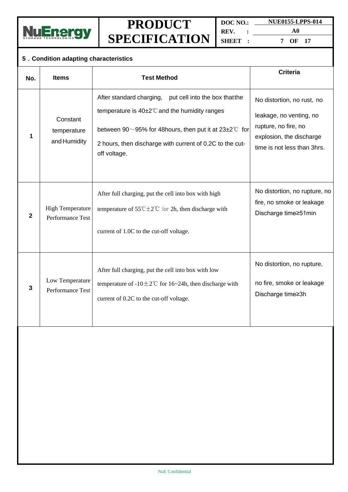

**DOC NO.: REV. : SHEET : NUE0155-LPPS-014**

**A0 7 OF 17**

#### **5.Condition adapting characteristics No. Items Test Method Criteria 1 Constant** temperature and Humidity After standard charging, put cell into the box thatthe temperature is 40±2℃and the humidity ranges between 90 $\sim$ 95% for 48 hours, then put it at 23 $\pm$ 2°C for 2 hours, then discharge with current of 0.2C to the cutoff voltage. No distortion, no rust, no leakage, no venting, no rupture, no fire, no explosion, the discharge time is not less than 3hrs. **2** High Temperature Performance Test After full charging, put the cell into box with high temperature of  $55^{\circ}$ C $\pm 2^{\circ}$ C for 2h, then discharge with current of 1.0C to the cut-off voltage. No distortion, no rupture, no fire, no smoke or leakage Discharge time≥51min **3** Low Temperature Performance Test After full charging, put the cell into box with low temperature of -10 $\pm$ 2℃ for 16~24h, then discharge with current of 0.2C to the cut-off voltage. No distortion, no rupture, no fire, smoke or leakage Discharge time≥3h

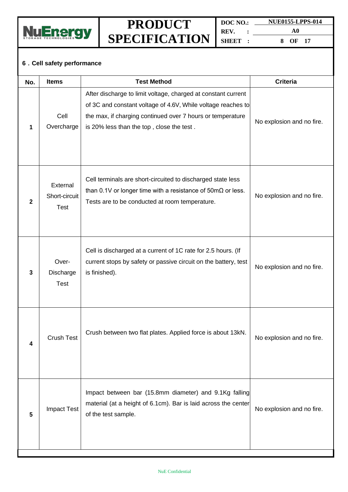

**DOC NO.: NUE0155-LPPS-014 REV. : SHEET : A0**

**8 OF 17**

### **6.Cell safety performance**

| No.            | <b>Items</b>                             | <b>Test Method</b>                                                                                                                                                                                                                       | <b>Criteria</b>           |
|----------------|------------------------------------------|------------------------------------------------------------------------------------------------------------------------------------------------------------------------------------------------------------------------------------------|---------------------------|
| 1              | Cell<br>Overcharge                       | After discharge to limit voltage, charged at constant current<br>of 3C and constant voltage of 4.6V, While voltage reaches to<br>the max, if charging continued over 7 hours or temperature<br>is 20% less than the top, close the test. | No explosion and no fire. |
| $\overline{2}$ | External<br>Short-circuit<br><b>Test</b> | Cell terminals are short-circuited to discharged state less<br>than 0.1V or longer time with a resistance of $50 \text{m}\Omega$ or less.<br>Tests are to be conducted at room temperature.                                              | No explosion and no fire. |
| 3              | Over-<br>Discharge<br><b>Test</b>        | Cell is discharged at a current of 1C rate for 2.5 hours. (If<br>current stops by safety or passive circuit on the battery, test<br>is finished).                                                                                        | No explosion and no fire. |
| 4              | Crush Test                               | Crush between two flat plates. Applied force is about 13kN.                                                                                                                                                                              | No explosion and no fire. |
| 5              | Impact Test                              | Impact between bar (15.8mm diameter) and 9.1Kg falling<br>material (at a height of 6.1cm). Bar is laid across the center<br>of the test sample.                                                                                          | No explosion and no fire. |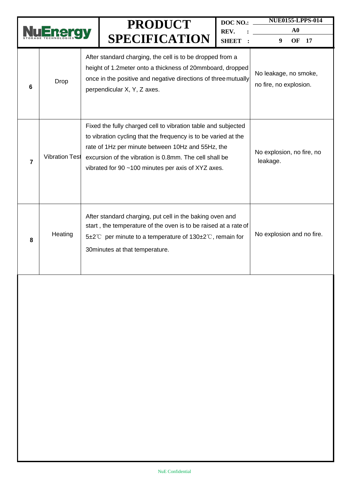|                |                       |  | DOC NO.:<br><b>PRODUCT</b><br>REV.<br><b>SPECIFICATION</b><br><b>SHEET</b>                                                                                                                                                                                                                           |                                                 | <b>NUE0155-LPPS-014</b><br>${\bf A0}$ |
|----------------|-----------------------|--|------------------------------------------------------------------------------------------------------------------------------------------------------------------------------------------------------------------------------------------------------------------------------------------------------|-------------------------------------------------|---------------------------------------|
|                |                       |  |                                                                                                                                                                                                                                                                                                      |                                                 | 9<br>OF<br>17                         |
| 6              | Drop                  |  | After standard charging, the cell is to be dropped from a<br>height of 1.2meter onto a thickness of 20mmboard, dropped<br>once in the positive and negative directions of three mutually<br>perpendicular X, Y, Z axes.                                                                              | No leakage, no smoke,<br>no fire, no explosion. |                                       |
| $\overline{7}$ | <b>Vibration Test</b> |  | Fixed the fully charged cell to vibration table and subjected<br>to vibration cycling that the frequency is to be varied at the<br>rate of 1Hz per minute between 10Hz and 55Hz, the<br>excursion of the vibration is 0.8mm. The cell shall be<br>vibrated for 90 ~100 minutes per axis of XYZ axes. | No explosion, no fire, no<br>leakage.           |                                       |
| 8              | Heating               |  | After standard charging, put cell in the baking oven and<br>start, the temperature of the oven is to be raised at a rate of<br>5±2°C per minute to a temperature of $130\pm2$ °C, remain for<br>30 minutes at that temperature.                                                                      | No explosion and no fire.                       |                                       |
|                |                       |  |                                                                                                                                                                                                                                                                                                      |                                                 |                                       |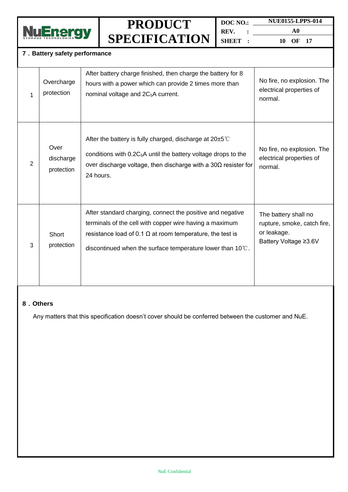

**DOC NO.: REV. : SHEET : NUE0155-LPPS-014**

**A0 10 OF 17**

#### **7.Battery safety performance**

| 1 | Overcharge<br>protection        | After battery charge finished, then charge the battery for 8<br>hours with a power which can provide 2 times more than<br>nominal voltage and 2C <sub>5</sub> A current.                                                                                | No fire, no explosion. The<br>electrical properties of<br>normal.                           |
|---|---------------------------------|---------------------------------------------------------------------------------------------------------------------------------------------------------------------------------------------------------------------------------------------------------|---------------------------------------------------------------------------------------------|
| 2 | Over<br>discharge<br>protection | After the battery is fully charged, discharge at $20\pm5^{\circ}$<br>conditions with $0.2C_5A$ until the battery voltage drops to the<br>over discharge voltage, then discharge with a $30\Omega$ resister for<br>24 hours.                             | No fire, no explosion. The<br>electrical properties of<br>normal.                           |
| 3 | Short<br>protection             | After standard charging, connect the positive and negative<br>terminals of the cell with copper wire having a maximum<br>resistance load of 0.1 $\Omega$ at room temperature, the test is<br>discontinued when the surface temperature lower than 10°C. | The battery shall no<br>rupture, smoke, catch fire,<br>or leakage.<br>Battery Voltage ≥3.6V |

#### **8.Others**

Any matters that this specification doesn't cover should be conferred between the customer and NuE.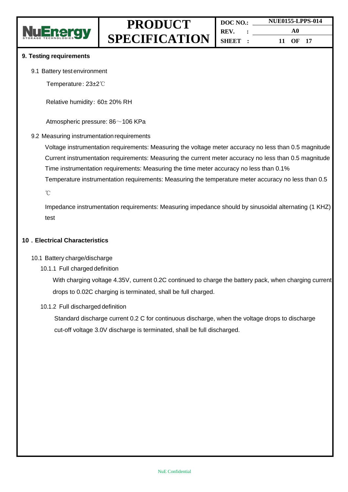

#### **9. Testing requirements**

9.1 Battery testenvironment

Temperature: 23±2℃

Relative humidity: 60± 20% RH

Atmospheric pressure: 86~106 KPa

#### 9.2 Measuring instrumentation requirements

Voltage instrumentation requirements: Measuring the voltage meter accuracy no less than 0.5 magnitude Current instrumentation requirements: Measuring the current meter accuracy no less than 0.5 magnitude Time instrumentation requirements: Measuring the time meter accuracy no less than 0.1% Temperature instrumentation requirements: Measuring the temperature meter accuracy no less than 0.5

℃

Impedance instrumentation requirements: Measuring impedance should by sinusoidal alternating (1 KHZ) test

#### **10.Electrical Characteristics**

#### 10.1 Battery charge/discharge

10.1.1 Full charged definition

With charging voltage 4.35V, current 0.2C continued to charge the battery pack, when charging current drops to 0.02C charging is terminated, shall be full charged.

#### 10.1.2 Full discharged definition

Standard discharge current 0.2 C for continuous discharge, when the voltage drops to discharge cut-off voltage 3.0V discharge is terminated, shall be full discharged.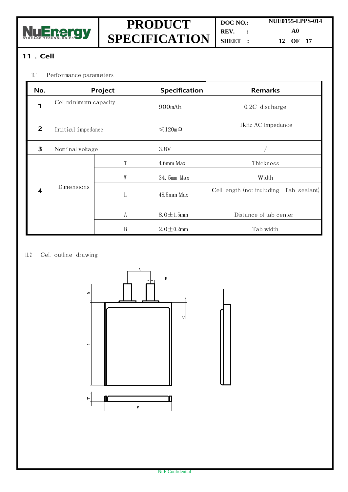

**DOC NO.: NUE0155-LPPS-014 REV. : SHEET : A0 12 OF 17**

### **11.Cell**

#### 11.1 Performance parameters

| No.                     |                       | Project | <b>Specification</b>  | <b>Remarks</b>                          |
|-------------------------|-----------------------|---------|-----------------------|-----------------------------------------|
| 1                       | Cell minimum capacity |         | 900mAh                | $0.2C$ discharge                        |
| $\overline{2}$          | Initial impedance     |         | $\leq 120$ m $\Omega$ | 1kHz AC Impedance                       |
| 3                       | Nominal voltage       |         | 3.8V                  |                                         |
|                         |                       |         | 4.6mm Max             | Thickness                               |
|                         |                       | W       | 34.5mm Max            | Width                                   |
| $\overline{\mathbf{4}}$ | Dimensions            | L       | $48.5$ mm Max         | Cell length (not including Tab sealant) |
|                         |                       | A       | $8.0 \pm 1.5$ mm      | Distance of tab center                  |
|                         |                       | B       | $2.0 \pm 0.2$ mm      | Tab width                               |

#### 11.2 Cell outline drawing

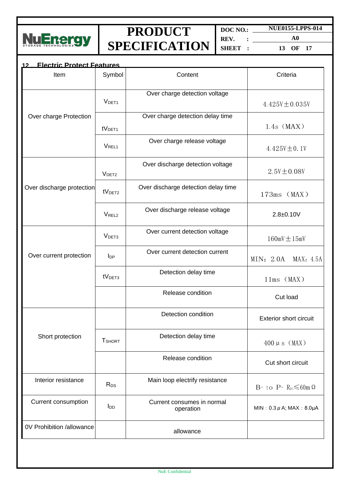

**DOC NO.: NUE0155-LPPS-014 REV. : SHEET :**

**A0 13 OF 17**

| <b>Electric Protect Features</b><br>12 |                    |                                         |                                      |
|----------------------------------------|--------------------|-----------------------------------------|--------------------------------------|
| Item                                   | Symbol             | Content                                 | Criteria                             |
|                                        | V <sub>DET1</sub>  | Over charge detection voltage           | $4.425V \pm 0.035V$                  |
| Over charge Protection                 | tV <sub>DET1</sub> | Over charge detection delay time        | $1.4s$ (MAX)                         |
|                                        | <b>VREL1</b>       | Over charge release voltage             | 4.425 $V \pm 0.1V$                   |
|                                        | V <sub>DET2</sub>  | Over discharge detection voltage        | $2.5V \pm 0.08V$                     |
| Over discharge protection              | tV <sub>DET2</sub> | Over discharge detection delay time     | $173ms$ (MAX)                        |
|                                        | V <sub>REL2</sub>  | Over discharge release voltage          | $2.8 + 0.10V$                        |
|                                        | V <sub>DET3</sub>  | Over current detection voltage          | $160mV \pm 15mV$                     |
| Over current protection                | $I_{DP}$           | Over current detection current          | MIN: 2.0A<br>MAX: 4.5A               |
|                                        | tV <sub>DET3</sub> | Detection delay time                    | $11ms$ (MAX)                         |
|                                        |                    | Release condition                       | Cut load                             |
|                                        |                    | Detection condition                     | <b>Exterior short circuit</b>        |
| Short protection                       | <b>T</b> SHORT     | Detection delay time                    | $400 \mu s$ (MAX)                    |
|                                        |                    | Release condition                       | Cut short circuit                    |
| Interior resistance                    | R <sub>DS</sub>    | Main loop electrify resistance          | B- to P- $R_{DS} \leq 60$ m $\Omega$ |
| Current consumption                    | l <sub>DD</sub>    | Current consumes in normal<br>operation | MIN: $0.3 \mu$ A; MAX: 8.0 $\mu$ A   |
| 0V Prohibition /allowance              |                    | allowance                               |                                      |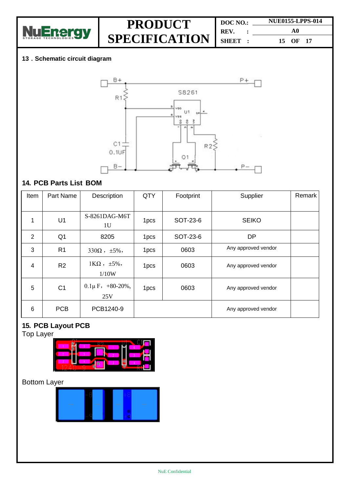

| DOC NO.: |  | <b>NUE0155-LPPS-014</b> |  |  |
|----------|--|-------------------------|--|--|
| REV.     |  | A0                      |  |  |
| SHEET :  |  | 15 OF 17                |  |  |

#### **13.Schematic circuit diagram**



### **14. PCB Parts List BOM**

| Item           | Part Name      | Description                       | QTY  | Footprint | Supplier            | Remark |
|----------------|----------------|-----------------------------------|------|-----------|---------------------|--------|
|                |                |                                   |      |           |                     |        |
| 1              | U1             | S-8261DAG-M6T<br>1 <sub>U</sub>   | 1pcs | SOT-23-6  | <b>SEIKO</b>        |        |
| $\overline{2}$ | Q <sub>1</sub> | 8205                              | 1pcs | SOT-23-6  | <b>DP</b>           |        |
| 3              | R <sub>1</sub> | $330\Omega$ , $\pm 5\%$ ,         | 1pcs | 0603      | Any approved vendor |        |
| 4              | R <sub>2</sub> | $1K\Omega$ , $\pm 5\%$ ,<br>1/10W | 1pcs | 0603      | Any approved vendor |        |
| 5              | C <sub>1</sub> | $0.1\mu$ F, $+80-20\%$ ,<br>25V   | 1pcs | 0603      | Any approved vendor |        |
| 6              | <b>PCB</b>     | PCB1240-9                         |      |           | Any approved vendor |        |

### **15. PCB Layout PCB**

Top Layer



### Bottom Layer

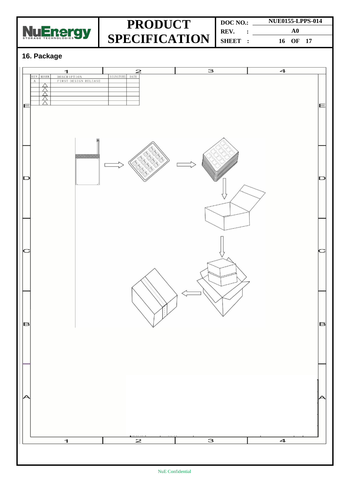

**DOC NO.: REV. : SHEET : NUE0155-LPPS-014 A0 16 OF 17**

### **16. Package**

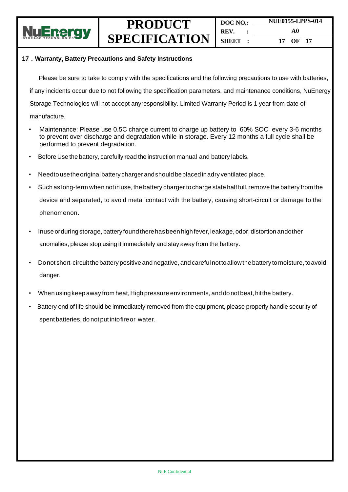

**DOC NO.: REV. : SHEET : NUE0155-LPPS-014 A0 17 OF 17**

#### **17.Warranty, Battery Precautions and Safety Instructions**

Please be sure to take to comply with the specifications and the following precautions to use with batteries, if any incidents occur due to not following the specification parameters, and maintenance conditions, NuEnergy Storage Technologies will not accept anyresponsibility. Limited Warranty Period is 1 year from date of manufacture.

- Maintenance: Please use 0.5C charge current to charge up battery to 60% SOC every 3-6 months to prevent over discharge and degradation while in storage. Every 12 months a full cycle shall be performed to prevent degradation.
- Before Use the battery, carefully read the instruction manual and battery labels.
- Needto usetheoriginalbattery charger andshould beplacedinadry ventilatedplace.
- Such as long-term when not in use, the battery charger to charge state half full, remove the battery from the device and separated, to avoid metal contact with the battery, causing short-circuit or damage to the phenomenon.
- Inuse orduring storage, battery found there has been high fever, leakage, odor, distortion andother anomalies, please stop using it immediately and stay away from the battery.
- Donot short-circuitthebattery positive andnegative, andcareful nottoallowthe battery tomoisture, toavoid danger.
- When using keep away from heat, High pressure environments, and donot beat, hit the battery.
- Battery end of life should be immediately removed from the equipment, please properly handle security of spent batteries, do notput intofireor water.